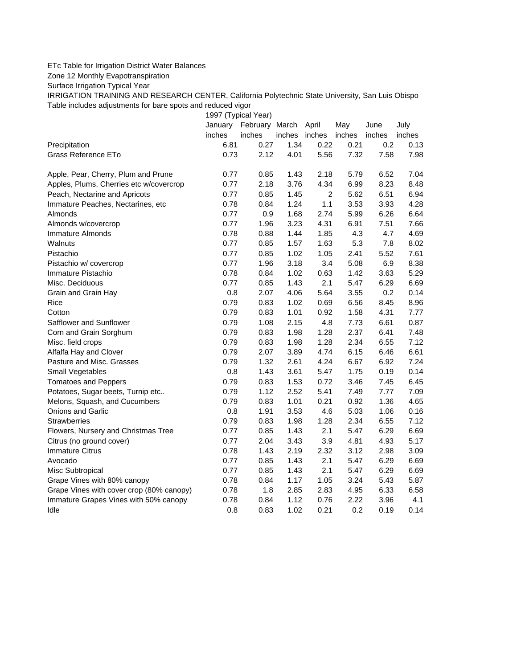## ETc Table for Irrigation District Water Balances

Zone 12 Monthly Evapotranspiration

Surface Irrigation Typical Year

IRRIGATION TRAINING AND RESEARCH CENTER, California Polytechnic State University, San Luis Obispo Table includes adjustments for bare spots and reduced vigor

1997 (Typical Year) January February March April May June July inches inches inches inches inches inches inches Precipitation 6.81 0.27 1.34 0.22 0.21 0.2 0.13 Grass Reference ETo **0.73** 2.12 4.01 5.56 7.32 7.58 7.98 Apple, Pear, Cherry, Plum and Prune 0.77 0.85 1.43 2.18 5.79 6.52 7.04 Apples, Plums, Cherries etc w/covercrop 0.77 2.18 3.76 4.34 6.99 8.23 8.48 Peach, Nectarine and Apricots 0.77 0.85 1.45 2 5.62 6.51 6.94 Immature Peaches, Nectarines, etc 0.78 0.84 1.24 1.1 3.53 3.93 4.28 Almonds 0.77 0.9 1.68 2.74 5.99 6.26 6.64 Almonds w/covercrop 0.77 1.96 3.23 4.31 6.91 7.51 7.66 Immature Almonds 0.78 0.88 1.44 1.85 4.3 4.7 4.69 Walnuts 0.77 0.85 1.57 1.63 5.3 7.8 8.02 Pistachio 0.77 0.85 1.02 1.05 2.41 5.52 7.61 Pistachio w/ covercrop 0.77 1.96 3.18 3.4 5.08 6.9 8.38 Immature Pistachio 0.78 0.84 1.02 0.63 1.42 3.63 5.29 Misc. Deciduous 0.77 0.85 1.43 2.1 5.47 6.29 6.69 Grain and Grain Hay 0.8 2.07 4.06 5.64 3.55 0.2 0.14 Rice 0.79 0.83 1.02 0.69 6.56 8.45 8.96 Cotton 0.79 0.83 1.01 0.92 1.58 4.31 7.77 Safflower and Sunflower 0.79 1.08 2.15 4.8 7.73 6.61 0.87 Corn and Grain Sorghum 0.79 0.83 1.98 1.28 2.37 6.41 7.48 Misc. field crops 0.79 0.83 1.98 1.28 2.34 6.55 7.12 Alfalfa Hay and Clover 0.79 2.07 3.89 4.74 6.15 6.46 6.61 Pasture and Misc. Grasses 0.79 1.32 2.61 4.24 6.67 6.92 7.24 Small Vegetables 0.8 1.43 3.61 5.47 1.75 0.19 0.14 Tomatoes and Peppers 0.79 0.83 1.53 0.72 3.46 7.45 6.45 Potatoes, Sugar beets, Turnip etc.. 0.79 1.12 2.52 5.41 7.49 7.77 7.09 Melons, Squash, and Cucumbers 0.79 0.83 1.01 0.21 0.92 1.36 4.65 Onions and Garlic 0.8 1.91 3.53 4.6 5.03 1.06 0.16 Strawberries 0.79 0.83 1.98 1.28 2.34 6.55 7.12 Flowers, Nursery and Christmas Tree 0.77 0.85 1.43 2.1 5.47 6.29 6.69 Citrus (no ground cover) 0.77 2.04 3.43 3.9 4.81 4.93 5.17 Immature Citrus 0.78 1.43 2.19 2.32 3.12 2.98 3.09 Avocado 0.77 0.85 1.43 2.1 5.47 6.29 6.69 Misc Subtropical 0.77 0.85 1.43 2.1 5.47 6.29 6.69 Grape Vines with 80% canopy  $0.78$  0.84 1.17 1.05 3.24 5.43 5.87 Grape Vines with cover crop (80% canopy)  $0.78$  1.8 2.85 2.83 4.95 6.33 6.58 Immature Grapes Vines with 50% canopy 0.78 0.84 1.12 0.76 2.22 3.96 4.1 Idle 0.8 0.83 1.02 0.21 0.2 0.19 0.14